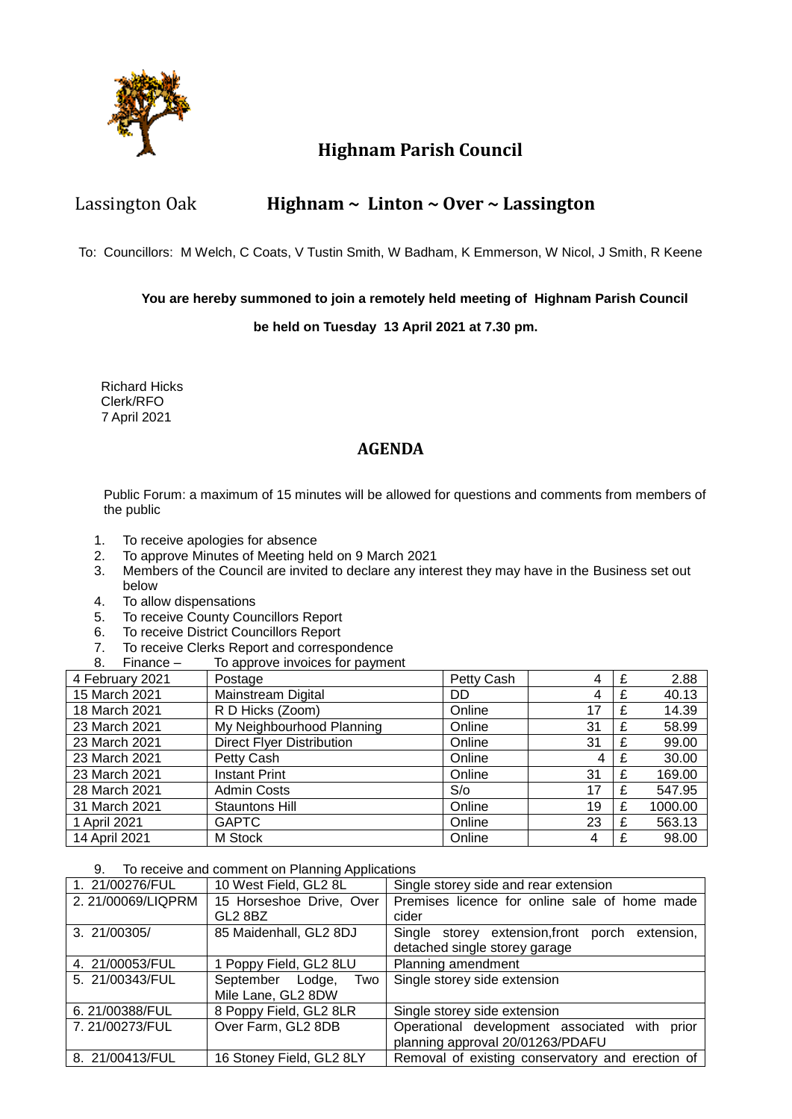

# **Highnam Parish Council**

# Lassington Oak **Highnam ~ Linton ~ Over ~ Lassington**

To: Councillors: M Welch, C Coats, V Tustin Smith, W Badham, K Emmerson, W Nicol, J Smith, R Keene

#### **You are hereby summoned to join a remotely held meeting of Highnam Parish Council**

**be held on Tuesday 13 April 2021 at 7.30 pm.**

 Richard Hicks Clerk/RFO 7 April 2021

### **AGENDA**

Public Forum: a maximum of 15 minutes will be allowed for questions and comments from members of the public

- 1. To receive apologies for absence
- 2. To approve Minutes of Meeting held on 9 March 2021
- 3. Members of the Council are invited to declare any interest they may have in the Business set out below
- 4. To allow dispensations
- 5. To receive County Councillors Report<br>6. To receive District Councillors Report
- To receive District Councillors Report
- 7. To receive Clerks Report and correspondence<br>8. Finance To approve invoices for paymer
- To approve invoices for payment

| 4 February 2021 | Postage                          | Petty Cash | 4  | £ | 2.88    |
|-----------------|----------------------------------|------------|----|---|---------|
| 15 March 2021   | Mainstream Digital               | DD.        | 4  | £ | 40.13   |
| 18 March 2021   | R D Hicks (Zoom)                 | Online     | 17 |   | 14.39   |
| 23 March 2021   | My Neighbourhood Planning        | Online     | 31 |   | 58.99   |
| 23 March 2021   | <b>Direct Flyer Distribution</b> | Online     | 31 |   | 99.00   |
| 23 March 2021   | Petty Cash                       | Online     | 4  |   | 30.00   |
| 23 March 2021   | <b>Instant Print</b>             | Online     | 31 |   | 169.00  |
| 28 March 2021   | <b>Admin Costs</b>               | S/O        | 17 |   | 547.95  |
| 31 March 2021   | <b>Stauntons Hill</b>            | Online     | 19 |   | 1000.00 |
| 1 April 2021    | <b>GAPTC</b>                     | Online     | 23 | £ | 563.13  |
| 14 April 2021   | M Stock                          | Online     |    |   | 98.00   |

9. To receive and comment on Planning Applications

| 1. 21/00276/FUL   | 10 West Field, GL2 8L    | Single storey side and rear extension            |  |  |
|-------------------|--------------------------|--------------------------------------------------|--|--|
| 2.21/00069/LIQPRM | 15 Horseshoe Drive, Over | Premises licence for online sale of home made    |  |  |
|                   | GL2 8BZ                  | cider                                            |  |  |
| 3.21/00305/       | 85 Maidenhall, GL2 8DJ   | Single storey extension, front porch extension,  |  |  |
|                   |                          | detached single storey garage                    |  |  |
| 4. 21/00053/FUL   | 1 Poppy Field, GL2 8LU   | Planning amendment                               |  |  |
| 5. 21/00343/FUL   | September Lodge,<br>Two  | Single storey side extension                     |  |  |
|                   | Mile Lane, GL2 8DW       |                                                  |  |  |
| 6.21/00388/FUL    | 8 Poppy Field, GL2 8LR   | Single storey side extension                     |  |  |
| 7.21/00273/FUL    | Over Farm, GL2 8DB       | Operational development associated with prior    |  |  |
|                   |                          | planning approval 20/01263/PDAFU                 |  |  |
| 8. 21/00413/FUL   | 16 Stoney Field, GL2 8LY | Removal of existing conservatory and erection of |  |  |